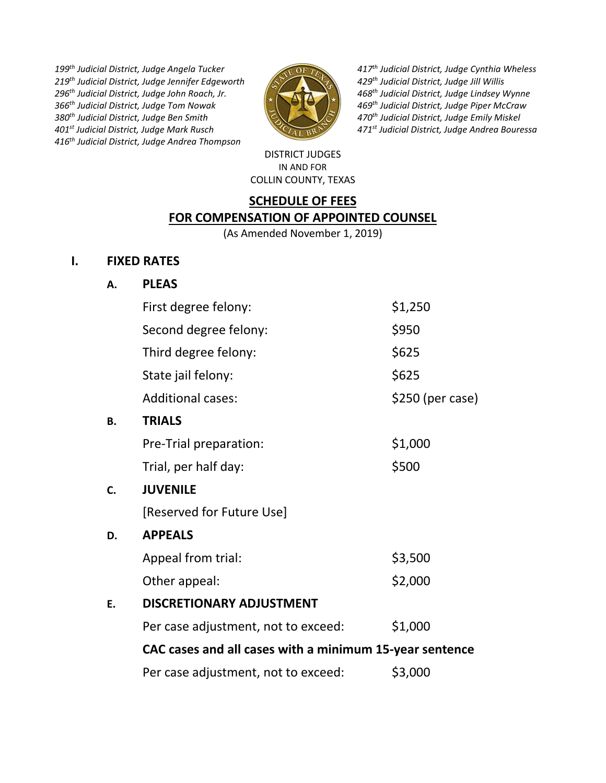*th Judicial District, Judge Angela Tucker th Judicial District, Judge Jennifer Edgeworth th Judicial District, Judge John Roach, Jr. th Judicial District, Judge Tom Nowak th Judicial District, Judge Ben Smith st Judicial District, Judge Mark Rusch th Judicial District, Judge Andrea Thompson*



*th Judicial District, Judge Cynthia Wheless th Judicial District, Judge Jill Willis th Judicial District, Judge Lindsey Wynne th Judicial District, Judge Piper McCraw th Judicial District, Judge Emily Miskel st Judicial District, Judge Andrea Bouressa*

#### DISTRICT JUDGES IN AND FOR COLLIN COUNTY, TEXAS

## **SCHEDULE OF FEES FOR COMPENSATION OF APPOINTED COUNSEL**

(As Amended November 1, 2019)

## **I. FIXED RATES**

# **A. PLEAS**

|    | First degree felony:                                    | \$1,250           |  |
|----|---------------------------------------------------------|-------------------|--|
|    | Second degree felony:                                   | \$950             |  |
|    | Third degree felony:                                    | \$625             |  |
|    | State jail felony:                                      | \$625             |  |
|    | <b>Additional cases:</b>                                | $$250$ (per case) |  |
| Β. | <b>TRIALS</b>                                           |                   |  |
|    | Pre-Trial preparation:                                  | \$1,000           |  |
|    | Trial, per half day:                                    | \$500             |  |
| C. | <b>JUVENILE</b>                                         |                   |  |
|    | [Reserved for Future Use]                               |                   |  |
| D. | <b>APPEALS</b>                                          |                   |  |
|    | Appeal from trial:                                      | \$3,500           |  |
|    | Other appeal:                                           | \$2,000           |  |
| E. | <b>DISCRETIONARY ADJUSTMENT</b>                         |                   |  |
|    | Per case adjustment, not to exceed:                     | \$1,000           |  |
|    | CAC cases and all cases with a minimum 15-year sentence |                   |  |
|    | Per case adjustment, not to exceed:                     | \$3,000           |  |